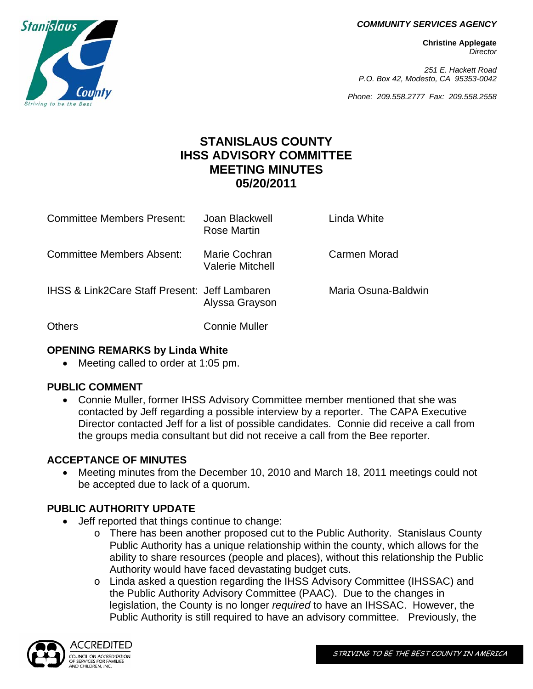*COMMUNITY SERVICES AGENCY*

**Christine Applegate** *Director*

*251 E. Hackett Road P.O. Box 42, Modesto, CA 95353-0042*

*Phone: 209.558.2777 Fax: 209.558.2558*

# **STANISLAUS COUNTY IHSS ADVISORY COMMITTEE MEETING MINUTES 05/20/2011**

| <b>Committee Members Present:</b>                        | Joan Blackwell<br>Rose Martin            | Linda White         |
|----------------------------------------------------------|------------------------------------------|---------------------|
| Committee Members Absent:                                | Marie Cochran<br><b>Valerie Mitchell</b> | Carmen Morad        |
| <b>IHSS &amp; Link2Care Staff Present: Jeff Lambaren</b> | Alyssa Grayson                           | Maria Osuna-Baldwin |
| <b>Others</b>                                            | <b>Connie Muller</b>                     |                     |

### **OPENING REMARKS by Linda White**

• Meeting called to order at 1:05 pm.

## **PUBLIC COMMENT**

 Connie Muller, former IHSS Advisory Committee member mentioned that she was contacted by Jeff regarding a possible interview by a reporter. The CAPA Executive Director contacted Jeff for a list of possible candidates. Connie did receive a call from the groups media consultant but did not receive a call from the Bee reporter.

## **ACCEPTANCE OF MINUTES**

 Meeting minutes from the December 10, 2010 and March 18, 2011 meetings could not be accepted due to lack of a quorum.

## **PUBLIC AUTHORITY UPDATE**

- Jeff reported that things continue to change:
	- o There has been another proposed cut to the Public Authority. Stanislaus County Public Authority has a unique relationship within the county, which allows for the ability to share resources (people and places), without this relationship the Public Authority would have faced devastating budget cuts.
	- o Linda asked a question regarding the IHSS Advisory Committee (IHSSAC) and the Public Authority Advisory Committee (PAAC). Due to the changes in legislation, the County is no longer *required* to have an IHSSAC. However, the Public Authority is still required to have an advisory committee. Previously, the



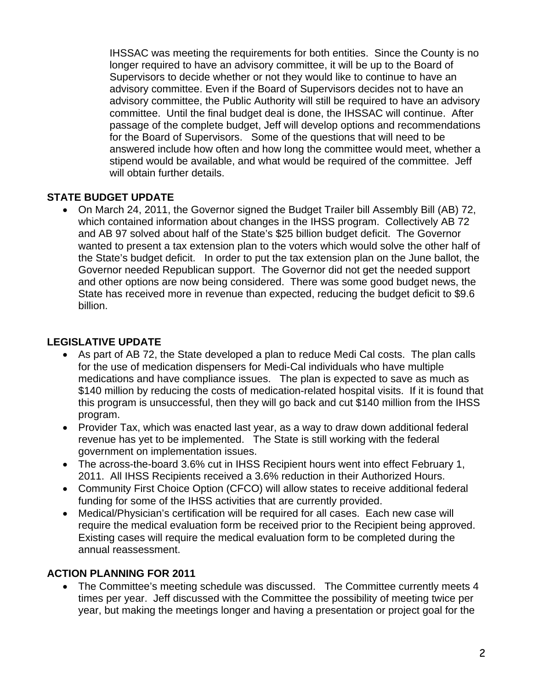IHSSAC was meeting the requirements for both entities. Since the County is no longer required to have an advisory committee, it will be up to the Board of Supervisors to decide whether or not they would like to continue to have an advisory committee. Even if the Board of Supervisors decides not to have an advisory committee, the Public Authority will still be required to have an advisory committee. Until the final budget deal is done, the IHSSAC will continue. After passage of the complete budget, Jeff will develop options and recommendations for the Board of Supervisors. Some of the questions that will need to be answered include how often and how long the committee would meet, whether a stipend would be available, and what would be required of the committee. Jeff will obtain further details.

## **STATE BUDGET UPDATE**

 On March 24, 2011, the Governor signed the Budget Trailer bill Assembly Bill (AB) 72, which contained information about changes in the IHSS program. Collectively AB 72 and AB 97 solved about half of the State's \$25 billion budget deficit. The Governor wanted to present a tax extension plan to the voters which would solve the other half of the State's budget deficit. In order to put the tax extension plan on the June ballot, the Governor needed Republican support. The Governor did not get the needed support and other options are now being considered. There was some good budget news, the State has received more in revenue than expected, reducing the budget deficit to \$9.6 billion.

## **LEGISLATIVE UPDATE**

- As part of AB 72, the State developed a plan to reduce Medi Cal costs. The plan calls for the use of medication dispensers for Medi-Cal individuals who have multiple medications and have compliance issues. The plan is expected to save as much as \$140 million by reducing the costs of medication-related hospital visits. If it is found that this program is unsuccessful, then they will go back and cut \$140 million from the IHSS program.
- Provider Tax, which was enacted last year, as a way to draw down additional federal revenue has yet to be implemented. The State is still working with the federal government on implementation issues.
- The across-the-board 3.6% cut in IHSS Recipient hours went into effect February 1, 2011. All IHSS Recipients received a 3.6% reduction in their Authorized Hours.
- Community First Choice Option (CFCO) will allow states to receive additional federal funding for some of the IHSS activities that are currently provided.
- Medical/Physician's certification will be required for all cases. Each new case will require the medical evaluation form be received prior to the Recipient being approved. Existing cases will require the medical evaluation form to be completed during the annual reassessment.

## **ACTION PLANNING FOR 2011**

 The Committee's meeting schedule was discussed. The Committee currently meets 4 times per year. Jeff discussed with the Committee the possibility of meeting twice per year, but making the meetings longer and having a presentation or project goal for the